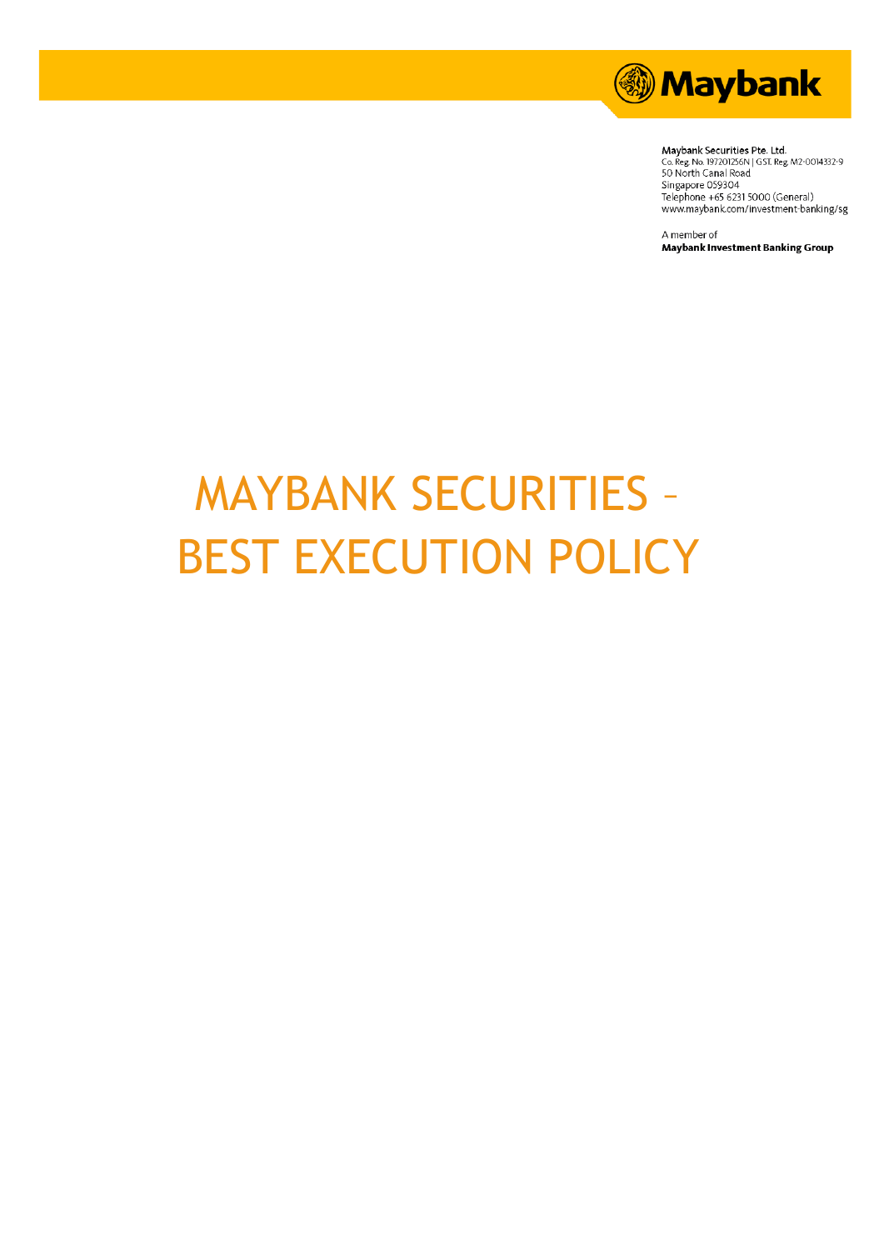

Maybank Securities Pte. Ltd. Maybank Securitus Pte. Ltd.<br>Co. Reg. No. 197201256N | GST. Reg. M2-0014332-9<br>50 North Canal Road<br>Singapore 059304<br>Telephone +65 6231 5000 (General) www.maybank.com/investment-banking/sg

A member of **Maybank Investment Banking Group** 

# MAYBANK SECURITIES – BEST EXECUTION POLICY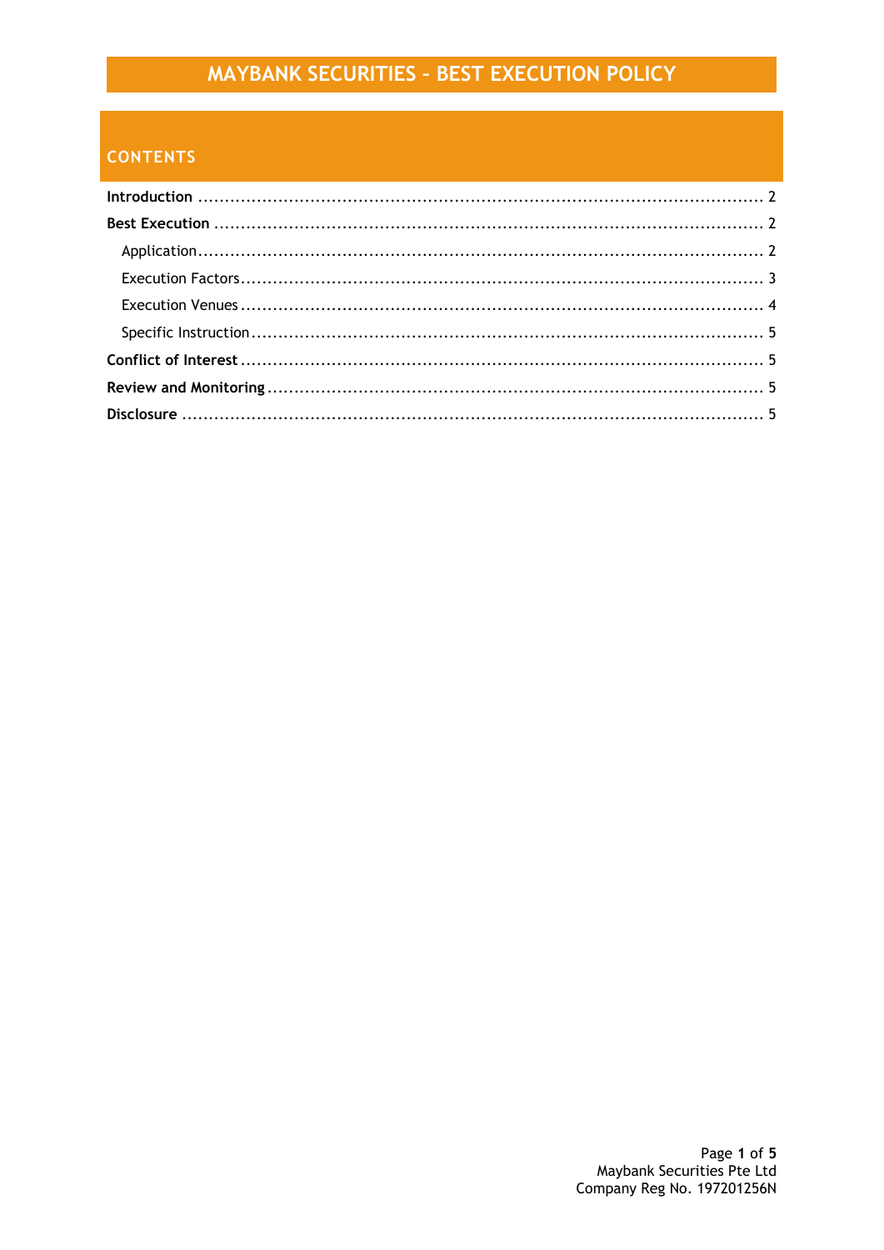## MAYBANK SECURITIES - BEST EXECUTION POLICY

## **CONTENTS**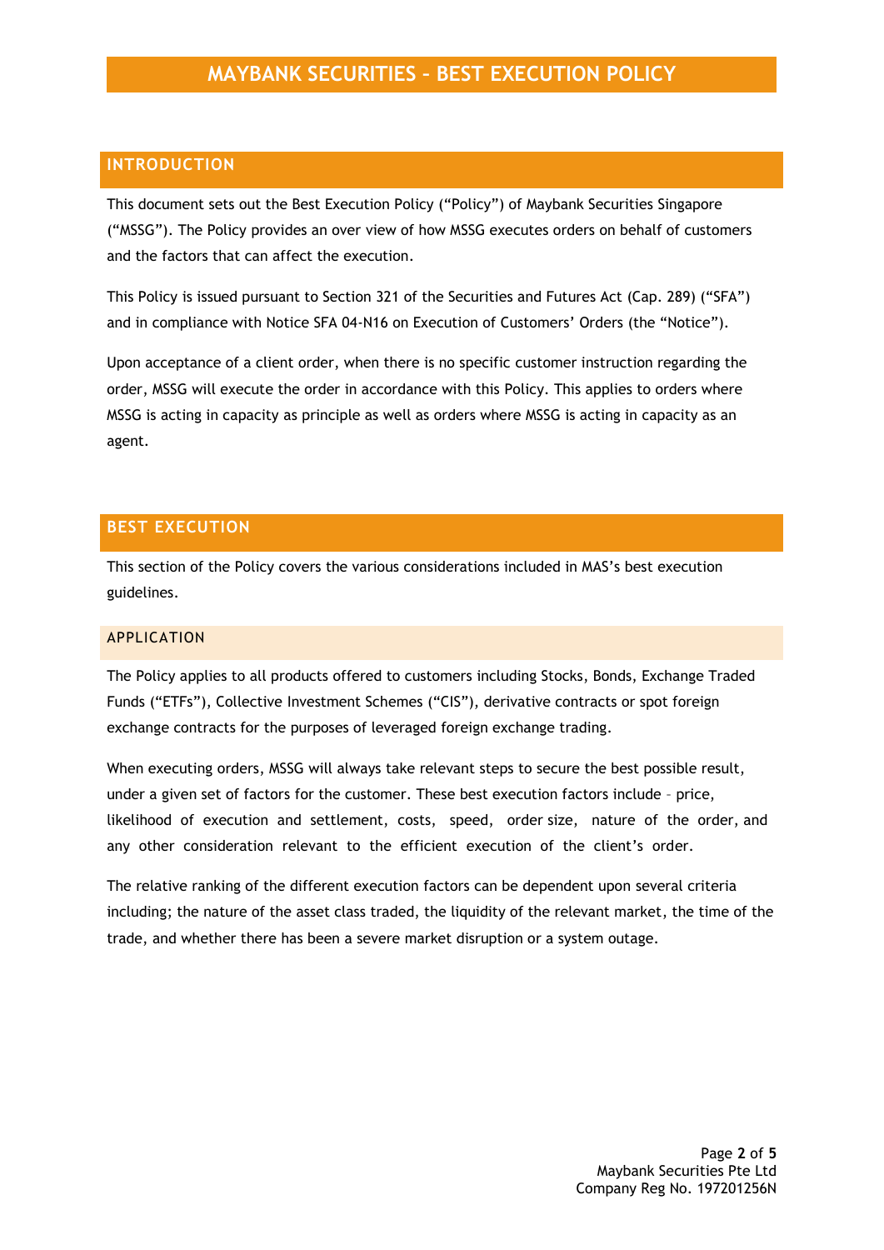## <span id="page-2-0"></span>**INTRODUCTION**

This document sets out the Best Execution Policy ("Policy") of Maybank Securities Singapore ("MSSG"). The Policy provides an over view of how MSSG executes orders on behalf of customers and the factors that can affect the execution.

This Policy is issued pursuant to Section 321 of the Securities and Futures Act (Cap. 289) ("SFA") and in compliance with Notice SFA 04-N16 on Execution of Customers' Orders (the "Notice").

Upon acceptance of a client order, when there is no specific customer instruction regarding the order, MSSG will execute the order in accordance with this Policy. This applies to orders where MSSG is acting in capacity as principle as well as orders where MSSG is acting in capacity as an agent.

## <span id="page-2-1"></span>**BEST EXECUTION**

This section of the Policy covers the various considerations included in MAS's best execution guidelines.

#### <span id="page-2-2"></span>APPLICATION

The Policy applies to all products offered to customers including Stocks, Bonds, Exchange Traded Funds ("ETFs"), Collective Investment Schemes ("CIS"), derivative contracts or spot foreign exchange contracts for the purposes of leveraged foreign exchange trading.

When executing orders, MSSG will always take relevant steps to secure the best possible result, under a given set of factors for the customer. These best execution factors include – price, likelihood of execution and settlement, costs, speed, order size, nature of the order, and any other consideration relevant to the efficient execution of the client's order.

The relative ranking of the different execution factors can be dependent upon several criteria including; the nature of the asset class traded, the liquidity of the relevant market, the time of the trade, and whether there has been a severe market disruption or a system outage.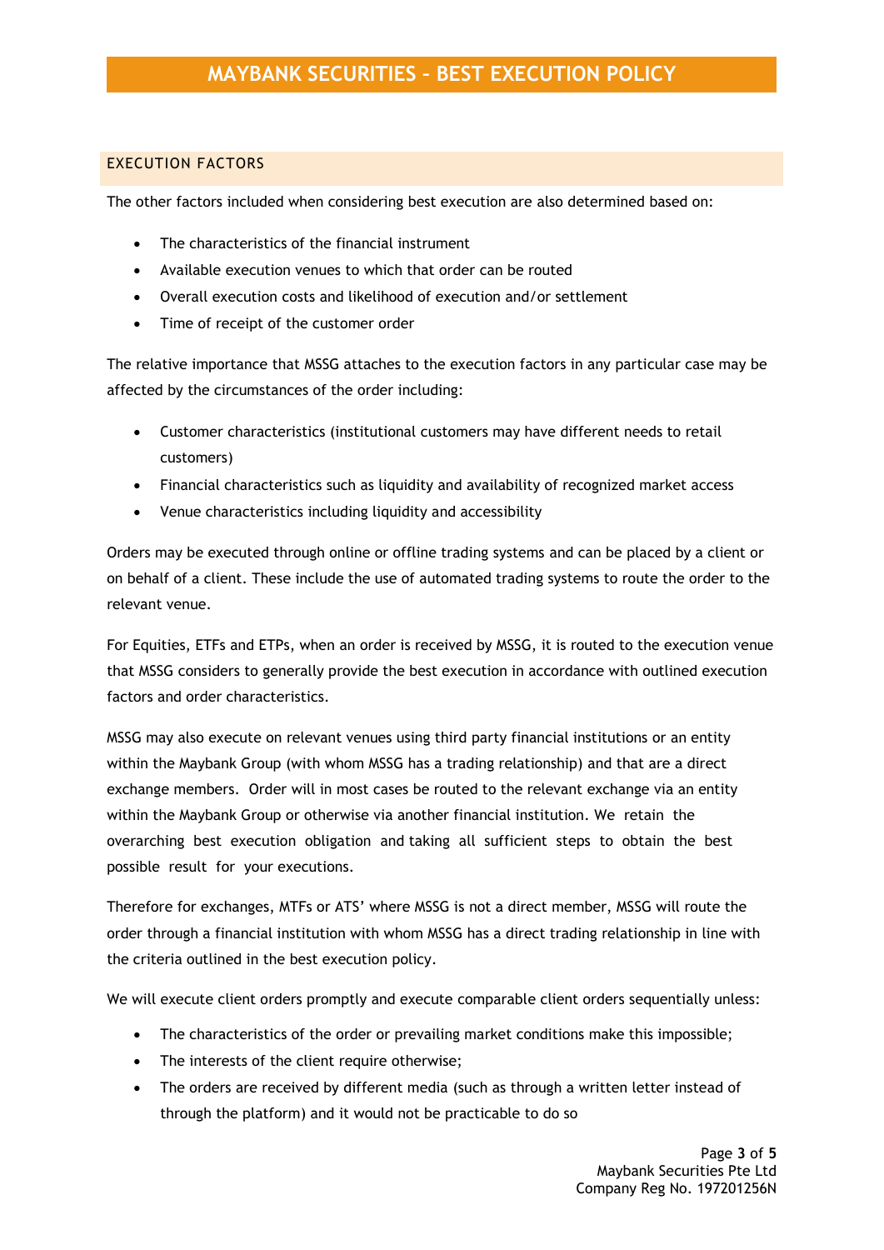## <span id="page-3-0"></span>EXECUTION FACTORS

The other factors included when considering best execution are also determined based on:

- The characteristics of the financial instrument
- Available execution venues to which that order can be routed
- Overall execution costs and likelihood of execution and/or settlement
- Time of receipt of the customer order

The relative importance that MSSG attaches to the execution factors in any particular case may be affected by the circumstances of the order including:

- Customer characteristics (institutional customers may have different needs to retail customers)
- Financial characteristics such as liquidity and availability of recognized market access
- Venue characteristics including liquidity and accessibility

Orders may be executed through online or offline trading systems and can be placed by a client or on behalf of a client. These include the use of automated trading systems to route the order to the relevant venue.

For Equities, ETFs and ETPs, when an order is received by MSSG, it is routed to the execution venue that MSSG considers to generally provide the best execution in accordance with outlined execution factors and order characteristics.

MSSG may also execute on relevant venues using third party financial institutions or an entity within the Maybank Group (with whom MSSG has a trading relationship) and that are a direct exchange members. Order will in most cases be routed to the relevant exchange via an entity within the Maybank Group or otherwise via another financial institution. We retain the overarching best execution obligation and taking all sufficient steps to obtain the best possible result for your executions.

Therefore for exchanges, MTFs or ATS' where MSSG is not a direct member, MSSG will route the order through a financial institution with whom MSSG has a direct trading relationship in line with the criteria outlined in the best execution policy.

We will execute client orders promptly and execute comparable client orders sequentially unless:

- The characteristics of the order or prevailing market conditions make this impossible;
- The interests of the client require otherwise;
- The orders are received by different media (such as through a written letter instead of through the platform) and it would not be practicable to do so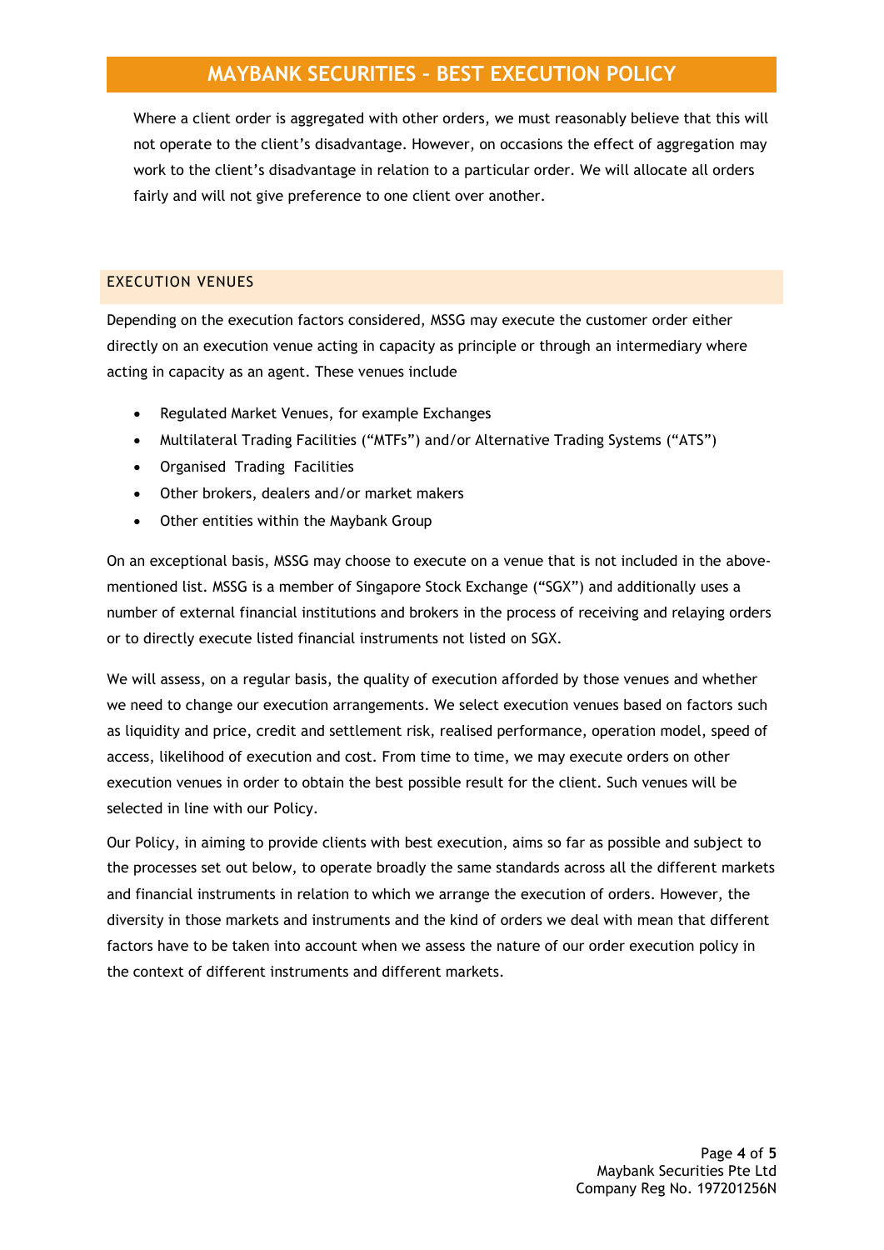## **MAYBANK SECURITIES – BEST EXECUTION POLICY**

Where a client order is aggregated with other orders, we must reasonably believe that this will not operate to the client's disadvantage. However, on occasions the effect of aggregation may work to the client's disadvantage in relation to a particular order. We will allocate all orders fairly and will not give preference to one client over another.

## <span id="page-4-0"></span>EXECUTION VENUES

Depending on the execution factors considered, MSSG may execute the customer order either directly on an execution venue acting in capacity as principle or through an intermediary where acting in capacity as an agent. These venues include

- Regulated Market Venues, for example Exchanges
- Multilateral Trading Facilities ("MTFs") and/or Alternative Trading Systems ("ATS")
- Organised Trading Facilities
- Other brokers, dealers and/or market makers
- Other entities within the Maybank Group

On an exceptional basis, MSSG may choose to execute on a venue that is not included in the abovementioned list. MSSG is a member of Singapore Stock Exchange ("SGX") and additionally uses a number of external financial institutions and brokers in the process of receiving and relaying orders or to directly execute listed financial instruments not listed on SGX.

We will assess, on a regular basis, the quality of execution afforded by those venues and whether we need to change our execution arrangements. We select execution venues based on factors such as liquidity and price, credit and settlement risk, realised performance, operation model, speed of access, likelihood of execution and cost. From time to time, we may execute orders on other execution venues in order to obtain the best possible result for the client. Such venues will be selected in line with our Policy.

Our Policy, in aiming to provide clients with best execution, aims so far as possible and subject to the processes set out below, to operate broadly the same standards across all the different markets and financial instruments in relation to which we arrange the execution of orders. However, the diversity in those markets and instruments and the kind of orders we deal with mean that different factors have to be taken into account when we assess the nature of our order execution policy in the context of different instruments and different markets.